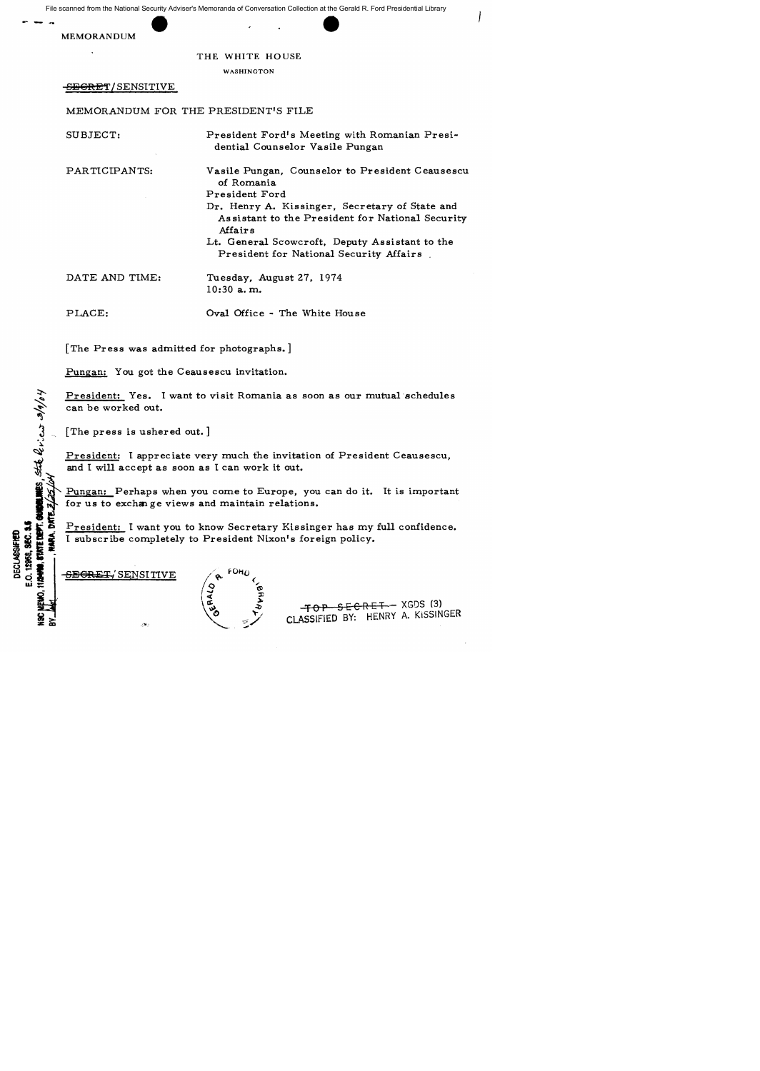File scanned from the National Security Adviser's Memoranda of Conversation Collection at the Gerald R. Ford Presidential Library

MEMORANDUM

THE WHITE HOUSE

WASHINGTON

-S<del>ECRET</del>/SENSITIVE

MEMORANDUM FOR THE PRESIDENT'S FILE

SUBJECT: President Ford's Meeting with Romanian Presidential Counselor Vasile Pungan

PARTICIPANTS:

Vasile Pungan, Counselor to President Ceausescu of Romania

President Ford

- Dr. Henry A. Kissinger, Secretary of State and As sistant to the President for National Security Affairs
- Lt. General Scowcroft. Deputy Assistant to the President for National Security Affairs

| DATE AND TIME: | Tuesday, August 27, 1974 |
|----------------|--------------------------|
|                | $10:30$ a.m.             |

PLACE: Oval Office - The White House

[The Press was admitted for photographs.]

Pungan: You got the Ceausescu invitation.

President: Yes. I want to visit Romania as soon as our mutual schedules can be worked out.

[The press is ushered out. ]

**MES, state** hices  $3/9/6$ 

E.O. 12968, SEC. 3.1 11/24/10, STATE DEPT

**DECLASSIFIED** 

President: I appreciate very much the invitation of President Ceausescu, and I will accept as soon as I can work it out.

Pungan: Perhaps when you come to Europe, you can do it. It is important for us to exchange views and maintain relations.

President: I want you to know Secretary Kissinger has my full confidence. I subscribe completely to President Nixon's foreign policy.

<del>SEGRET,</del> SENSITIVE

 $+ - \times$ GDS (3) CLASSIFIED BY: HENRY A. KISSINGER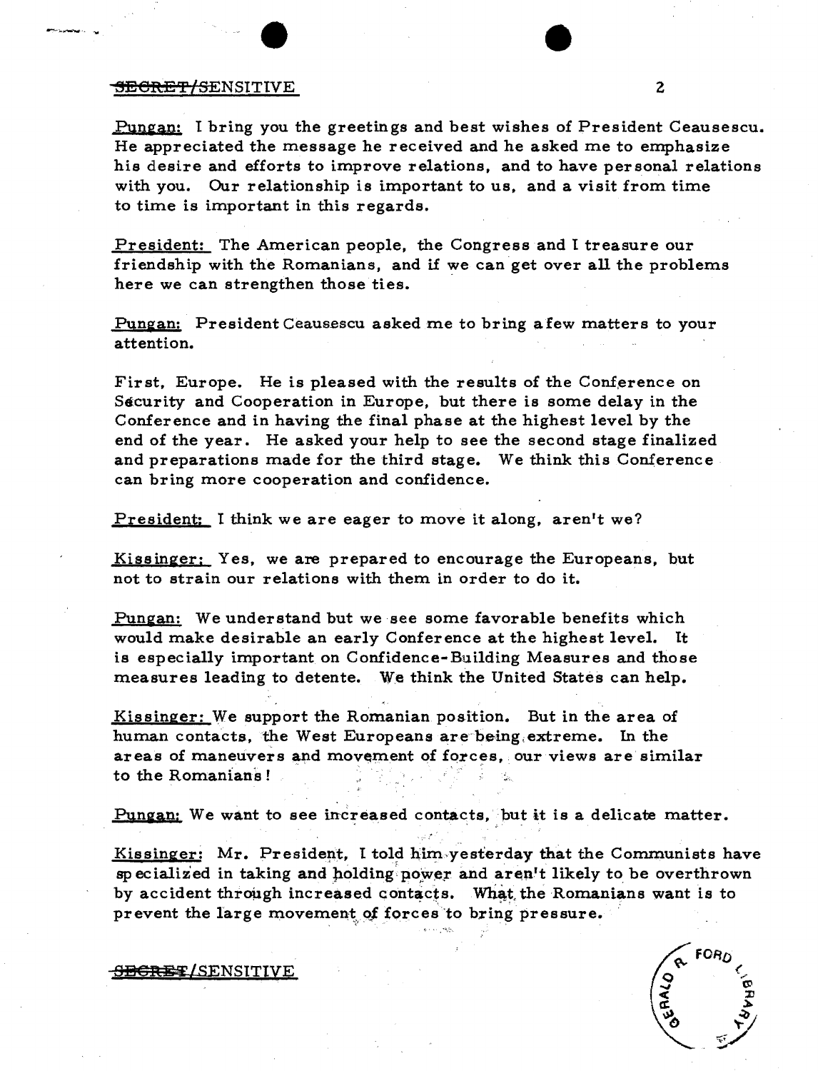## the set of the set of the set of the set of the set of the set of the set of the set of the set of the set of the set of the set of the set of the set of the set of the set of the set of the set of the set of the set of th

Pungan: I bring you the greetings and best wishes of President Ceausescu. He appreciated the message he received and he asked me to emphasize his desire and efforts to improve relations, and to have personal relations with you. Our relationship is important to us, and a visit from time to time is important in this regards.

President: The American people, the Congress and I treasure our friendship with the Romanians, and if we can get over all the problems here we can strengthen those ties.

Pungan: President Ceausescu asked me to bring a few matters to your attention.

First. Europe. He is pleased with the results of the Conference on Security and Cooperation in Europe, but there is some delay in the Conference and in having the final phase at the highest level by the end of the year. He asked your help to see the second stage finalized and preparations made for the third stage. We think this Conference can bring more cooperation and confidence.

President: I think we are eager to move it along, aren't we?

Kissinger: Yes, we are prepared to encourage the Europeans, but not to strain our relations with them in order to do it.

Punaan: We understand but we see some favorable benefits which would make desirable an early Conference at the highest level. It is especially important on Confidence-Building Measures and those measures leading to detente. We think the United States can help.

Kissinger: We support the Romanian position. But in the area of human contacts, the West Europeans are being extreme. In the areas of maneuvers and movement of forces, our views are similar to the Romanians!

Pungan: We want to see increased contacts, but it is a delicate matter.

Kissinger: Mr. President, I told him yesterday that the Communists have specialized in taking and holding power and aren't likely to be overthrown by accident through increased contacts. What the Romanians want is to prevent the large movement of forces to bring pressure.

 $\phi$  , ,



SBCRET/SENSITIVE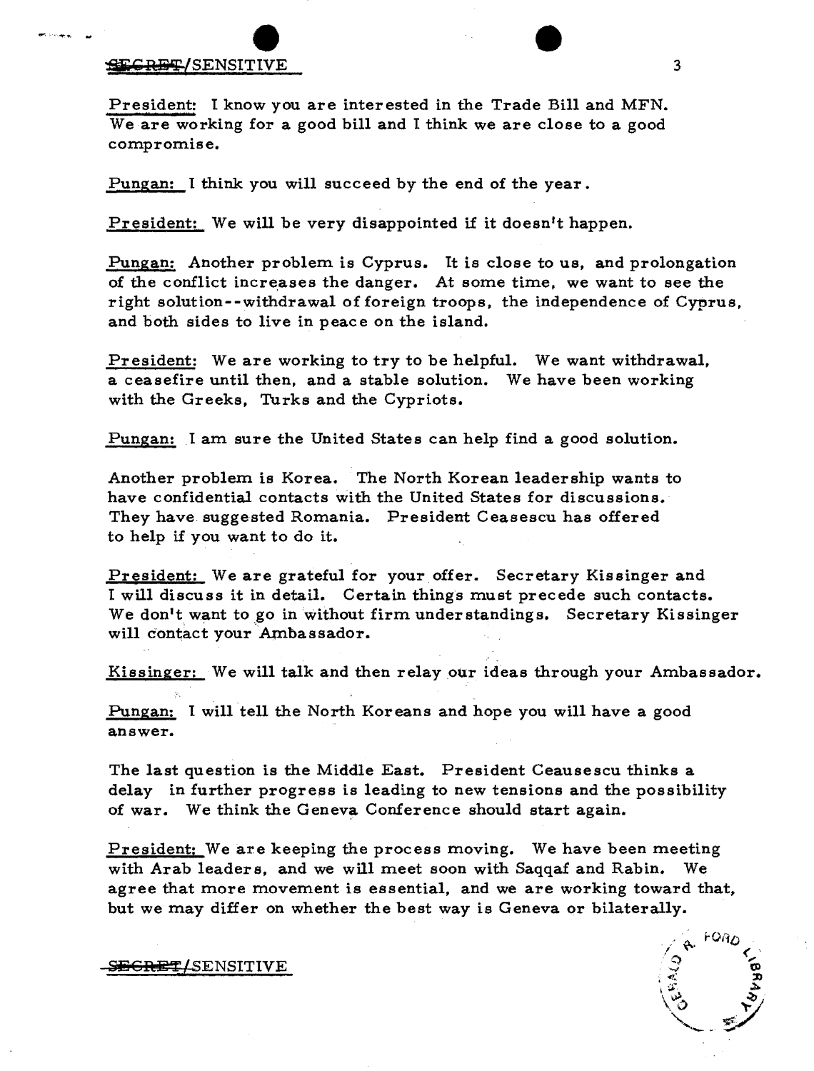## *<u>REGRET</u>/SENSITIVE*

President: I know you are interested in the Trade Bill and MFN. We are working for a good bill and I think we are close to a good compromise.

Pungan: I think you will succeed by the end of the year.

President: We will be very disappointed if it doesn't happen.

Pungan: Another problem is Cyprus. It is close to us, and prolongation of the conflict increases the danger. At some time, we want to see the right solution--withdrawal of foreign troops, the independence of Cyprus, and both sides to live in peace on the island.

President: We are working to try to be helpful. We want withdrawal, a ceasefire until then, and a stable solution. We have been working with the Greeks, Turks and the Cypriots.

Pungan: I am sure the United States can help find a good solution.

Another problem is Korea. The North Korean leadership wants to have confidential contacts with the United States for discussions. They have suggested Romania. President Ceasescu has offered to help if you want to do it.

President: We are grateful for your offer. Secretary Kissinger and I will discuss it in detail. Certain things must precede such contacts. We don't want to go in without firm understandings. Secretary Kissinger will contact your Ambassador.

Kissinger: We will talk and then relay our ideas through your Ambassador.

Pungan: I will tell the North Koreans and hope you will have a good answer.

The last question is the Middle East. President Ceausescu thinks a delay in further progress is leading to new tensions and the possibility of war. We think the Geneva Conference should start again.

President: We are keeping the process moving. We have been meeting with Arab leaders, and we will meet soon with Saqqaf and Rabin. We agree that more movement is essential, and we are working toward that, but we may differ on whether the best way is Geneva or bilaterally .

-S<del>ECRET</del>/SENSITIVE



3

 $\angle \times$  $\sqrt{2}$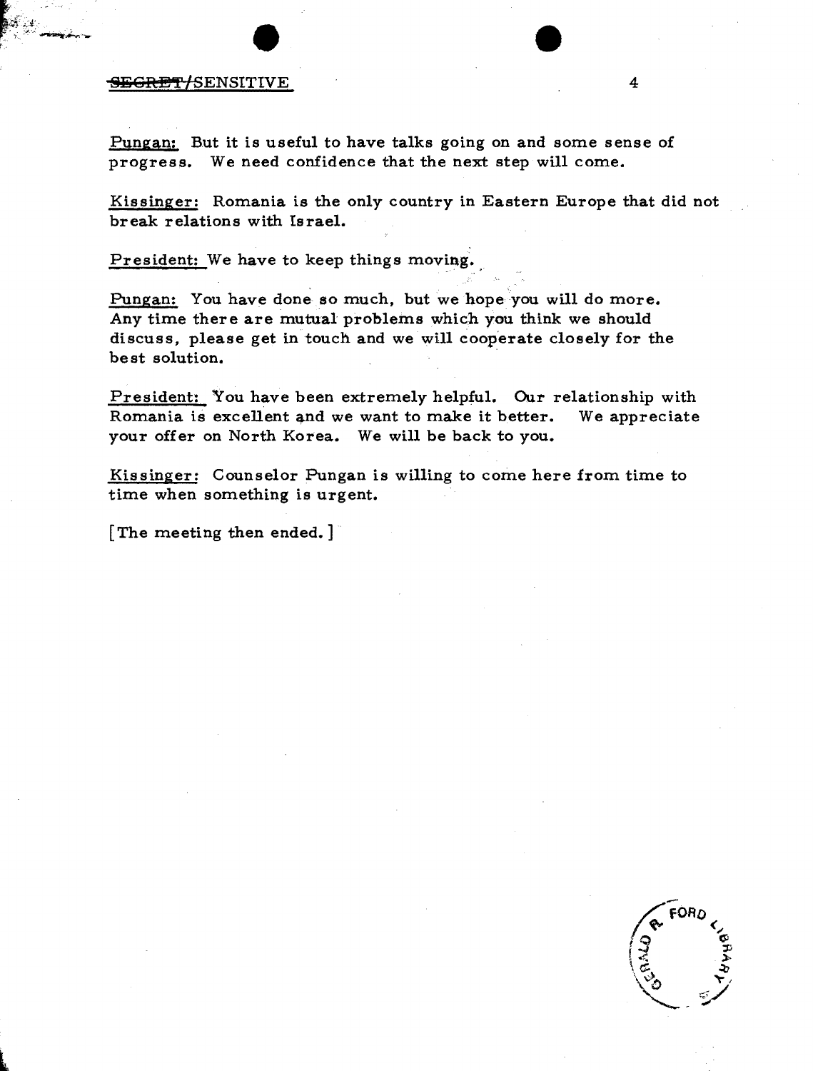## <del>SECRET/</del>SENSITIVE 4

"< "t", ~~'lF

Pungan: But it is useful to have talks going on and some sense of progress. We need confidence that the next step will come.

Kissinger: Romania is the only country in Eastern Europe that did not break relations with Israel.

President: We have to keep things moving.

Pungan: You have done so much, but we hope you will do more. Any time there are mutual problems which you think we should discuss, please get in touch and we will cooperate closely for the be st solution.

President: You have been extremely helpful. Our relationship with Romania is excellent and we want to make it better. We appreciate your offer on North Korea. We will be back to you.

Kissinger: Counselor Pungan is willing to come here from time to time when something is urgent.

[The meeting then ended.]

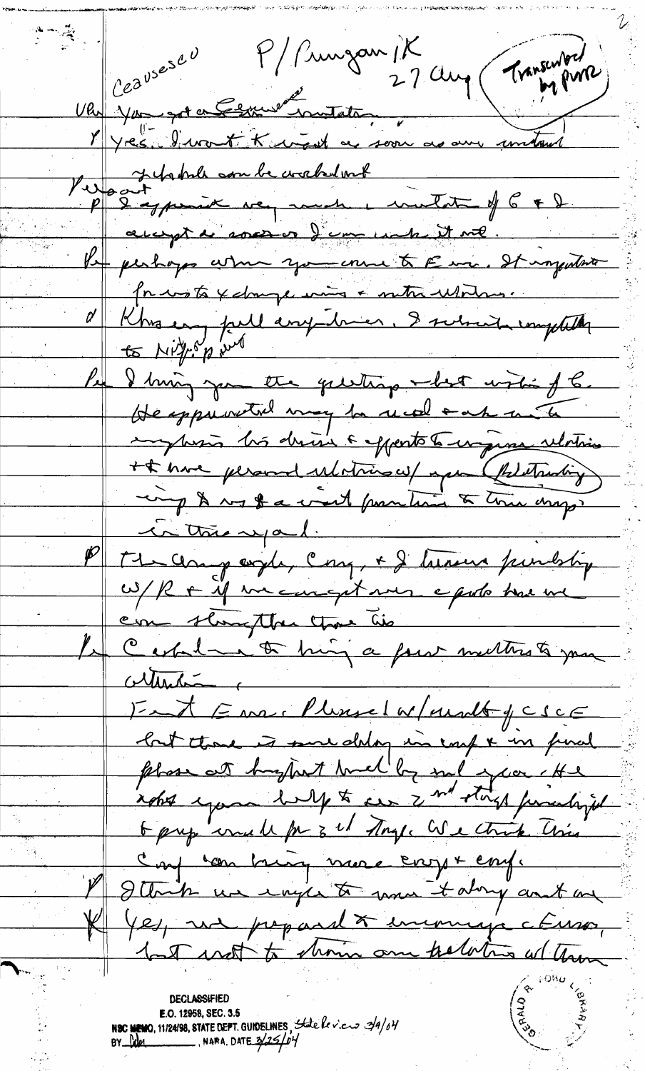P/ Pungan ik 27 aug (Transenbord) Ceavseseu Ver You got en Cemus de constation Myres. I wont t want as soon as any untant Perpondente au la constatunt alaget de coments d'une content me. By perhaps when you canne to E was It important Pr moto x damper into a metre usations. d'Khiz eug full anythiner. I suburit emptathe le I may you the questions what within of b. He appointed may be recal tak in the inglusion bis drive a effecto to experience relations + & have personal ulations w/ apr (foldtracting) ing & ry \$ a visit pourtin & true anger in the wal. Me Clangeoph, Cong, + & treated purchy W/R+ if we can get me a guto tome we con slungther than the Cestalme to hing a four metters to your attendent Fast Em. Pluse W/ und fcscE but those is sure delay in cash & in final floar at haghert buck by me year . He Conf can bring none cropt conf. V Jetter's un inger to more taking and on K Yes, and preparat & incoming columns, but wat to show are polities al them

E.O. 12958, SEC. 3.5 NSC MEMO, 11/24/98, STATE DEPT. GUIDELINES, State le viens 3/9/04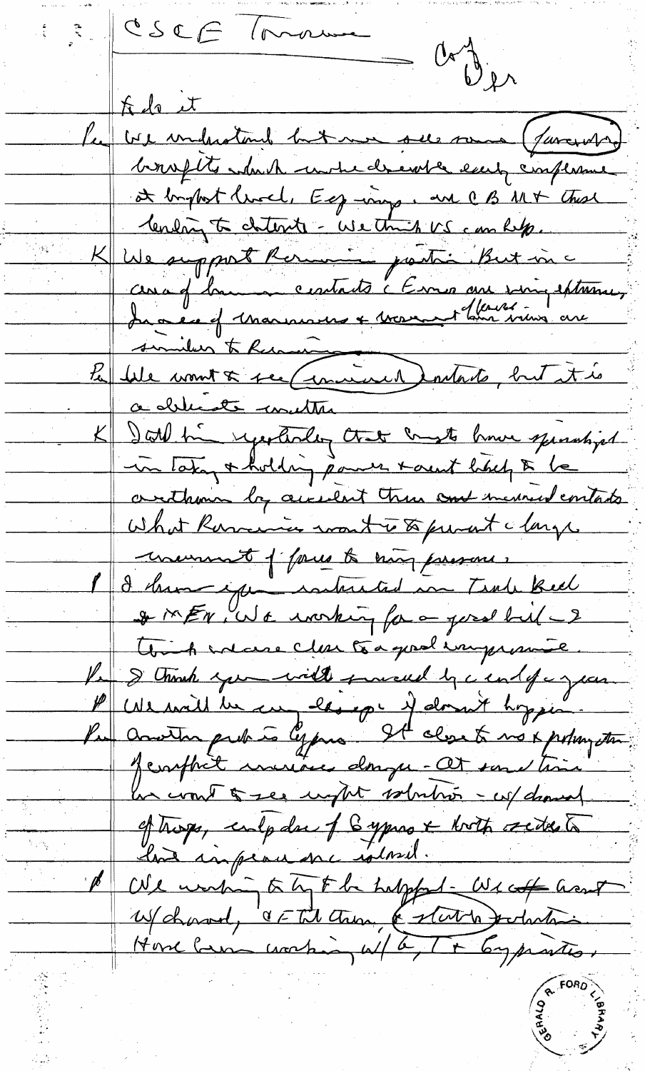3 CSCE Imame  $0\nu_{\nu}$ Adort Le ver inderstand but me see some (favoration) broughts which under deserve every conflime at bright livel, Egg ing. and CB M+ Chief Cendais to chtest - We think US can help. K We support Rermain partir But inc avagé dans le centaits à l'une au singeptume, similar to Ruman la bile nomt & see (invinced autorité, but it is a delicate concentra K Dort him regarding that counts how spendiget in Taky & holding power + ount hardy & be creathing by accelent these and meaner embado What Remain won't to to purent clarge unement of forces to him pressure. 8 km in contracted on Timbe Bell & MEN, We working for a good but -2 think incurre clear to a good emprovement Pe & think you will suread by a end of a year PUL will be can lesson y don't hyper. Put convertir problement de la desete not potent Jemphit musique donger-At sond time of trops, enly due of Sypra & North sected lors emperent en cidosit. We writing to by F be happed - We coff Grant W/ channel, OF Til Chin, & start podata Hove been unhing w/ 6, T+ by printes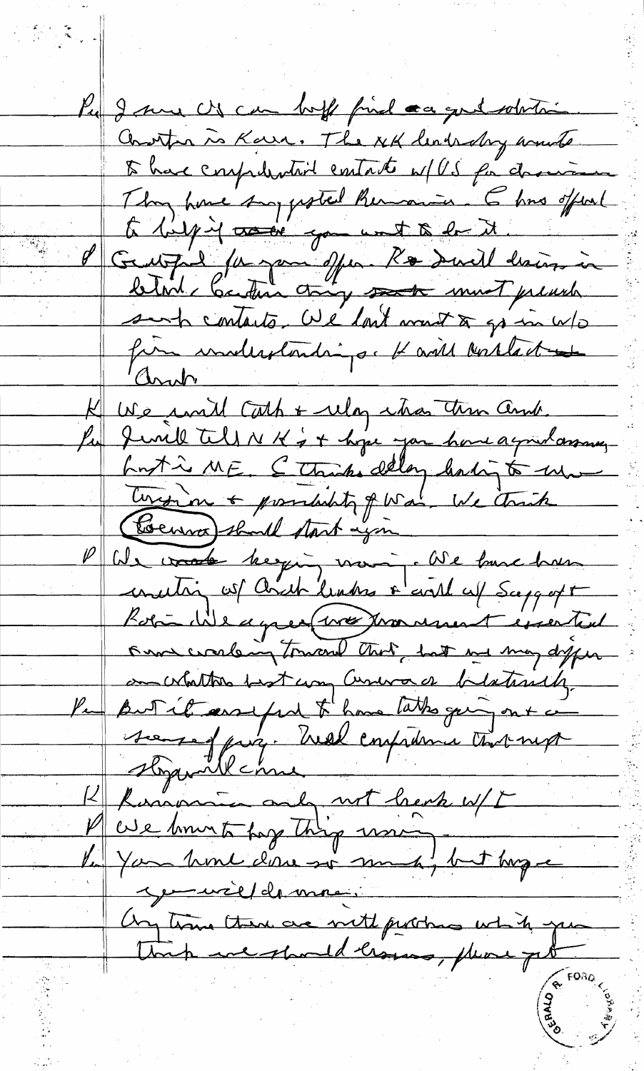Pul I mu US can hoff find an god solution Contro is Karr. The NK leadership would to have comprehentat emtante w/US for chancemen They have suggested hermanice. 6 has offered to bilging come you want to do it O Gentfil papami offer. Re duill dains in beloit : Canture coming sont must preuse such contacts. We last want to go in who fun indisplantings. Havil cartacte arne K We will Cath + relay what then and. Pu Jurill till NK & + hope you have agril assume, Lont in ME. S thinks delay lasting to me Evision + possibility of Was We truck P We want beging voorige We lance home incuting with the leaders in and with Scape of the Robin Weagrer (was promisent executed on contain toward that hat me may differ Pu But il analpro to have take ging out a sons faire mel empirementare Khampson and not break u/r K Rassaument page Thing user ) but hope Un time there are with proches which you